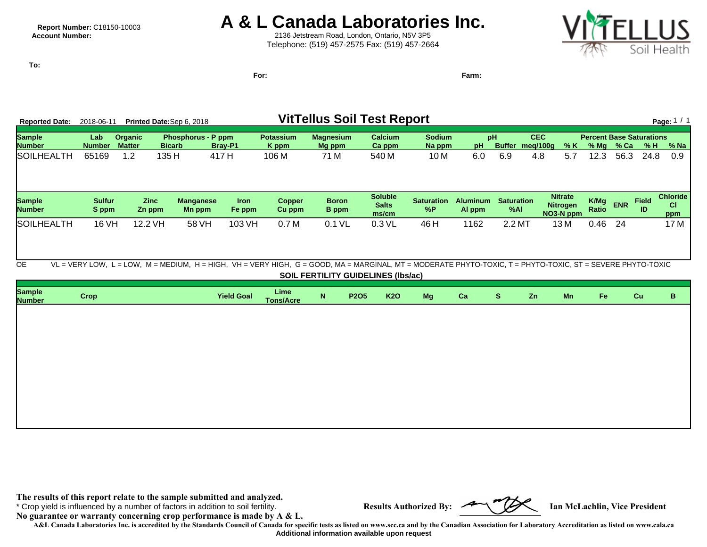## **Report Number: C18150-10003 A & L Canada Laboratories Inc.**<br>Account Number: **A** examplement **A** examplement and Laboraton, Ontario, N5V 3P5

2136 Jetstream Road, London, Ontario, N5V 3P5 Telephone: (519) 457-2575 Fax: (519) 457-2664



**To:**

**For: Farm:**

| <b>Reported Date:</b>          | 2018-06-11             |                                 | Printed Date:Sep 6, 2018 |                            |                       |                                                                                                                                                            |                              |             | <b>VitTellus Soil Test Report</b>         |                         |                           |                          |            |                                                |               |               |                                        | Page: $1 / 1$                |
|--------------------------------|------------------------|---------------------------------|--------------------------|----------------------------|-----------------------|------------------------------------------------------------------------------------------------------------------------------------------------------------|------------------------------|-------------|-------------------------------------------|-------------------------|---------------------------|--------------------------|------------|------------------------------------------------|---------------|---------------|----------------------------------------|------------------------------|
| <b>Sample</b><br><b>Number</b> | Lab<br><b>Number</b>   | <b>Organic</b><br><b>Matter</b> | <b>Bicarb</b>            | <b>Phosphorus - P ppm</b>  | Bray-P1               | <b>Potassium</b><br>K ppm                                                                                                                                  | <b>Magnesium</b><br>Mg ppm   |             | <b>Calcium</b><br>Ca ppm                  | <b>Sodium</b><br>Na ppm | pH<br>pH                  | Buffer meg/100g          | <b>CEC</b> | % K                                            |               | $%$ Mg $%$ Ca | <b>Percent Base Saturations</b><br>% H | % Na                         |
| <b>SOILHEALTH</b>              | 65169                  | 1.2                             | 135 H                    | 417 H                      |                       | 106 M                                                                                                                                                      | 71 M                         |             | 540 M                                     | 10 <sub>M</sub>         | 6.0                       | 6.9                      | 4.8        | 5.7                                            | 12.3          | 56.3          | 24.8                                   | 0.9                          |
| <b>Sample</b><br><b>Number</b> | <b>Sulfur</b><br>S ppm | <b>Zinc</b><br>Zn ppm           |                          | <b>Manganese</b><br>Mn ppm | <b>Iron</b><br>Fe ppm | <b>Copper</b><br>Cu ppm                                                                                                                                    | <b>Boron</b><br><b>B</b> ppm |             | <b>Soluble</b><br><b>Salts</b><br>ms/cm   | <b>Saturation</b><br>%P | <b>Aluminum</b><br>Al ppm | <b>Saturation</b><br>%AI |            | <b>Nitrate</b><br><b>Nitrogen</b><br>NO3-N ppm | K/Mg<br>Ratio | <b>ENR</b>    | <b>Field</b><br>ID                     | <b>Chloride</b><br>CI<br>ppm |
| SOILHEALTH                     | 16 VH                  | 12.2 VH                         |                          | 58 VH                      | 103 VH                | 0.7 <sub>M</sub>                                                                                                                                           | 0.1 VL                       |             | $0.3$ VL                                  | 46 H                    | 1162                      | 2.2 MT                   |            | 13 M                                           | 0.46          | 24            |                                        | 17 M                         |
| <b>OE</b>                      |                        |                                 |                          |                            |                       | VL = VERY LOW, L = LOW, M = MEDIUM, H = HIGH, VH = VERY HIGH, G = GOOD, MA = MARGINAL, MT = MODERATE PHYTO-TOXIC, T = PHYTO-TOXIC, ST = SEVERE PHYTO-TOXIC |                              |             | <b>SOIL FERTILITY GUIDELINES (Ibs/ac)</b> |                         |                           |                          |            |                                                |               |               |                                        |                              |
| <b>Sample</b><br><b>Number</b> | <b>Crop</b>            |                                 |                          |                            | <b>Yield Goal</b>     | Lime<br><b>Tons/Acre</b>                                                                                                                                   | N                            | <b>P2O5</b> | <b>K2O</b>                                | Mg                      | Ca                        | <sub>S</sub>             | Zn         | Mn                                             | Fe            |               | Cu                                     | B                            |
|                                |                        |                                 |                          |                            |                       |                                                                                                                                                            |                              |             |                                           |                         |                           |                          |            |                                                |               |               |                                        |                              |
|                                |                        |                                 |                          |                            |                       |                                                                                                                                                            |                              |             |                                           |                         |                           |                          |            |                                                |               |               |                                        |                              |

**The results of this report relate to the sample submitted and analyzed.** 

\* Crop yield is influenced by a number of factors in addition to soil fertility. **Results Authorized By: Ian McLachlin, Vice President**

**No guarantee or warranty concerning crop performance is made by A & L.**

**A&L Canada Laboratories Inc. is accredited by the Standards Council of Canada for specific tests as listed on www.scc.ca and by the Canadian Association for Laboratory Accreditation as listed on www.cala.ca Additional information available upon request**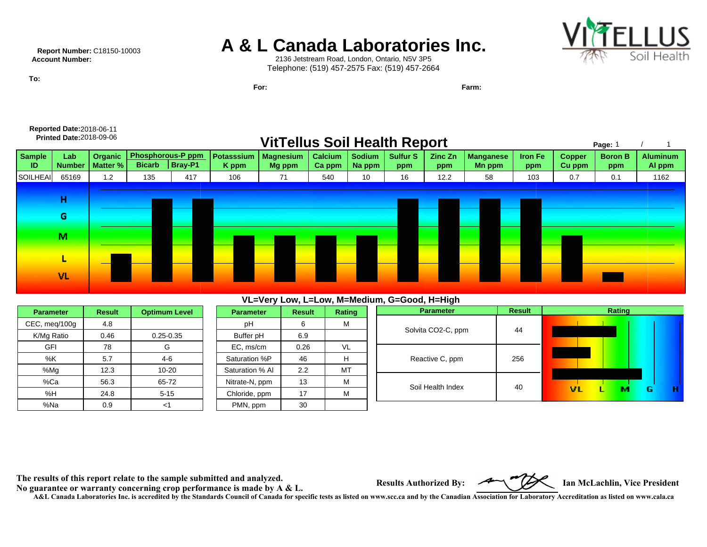### **Report Number:** C18150-10003 **A & L Canada Laboratories Inc.**<br>Account Number: **A** & L 2136 Jetstream Road, London, Ontario, N5V 3P5



2136 Jetstream Road, London, Ontario, N5V 3P5 Telephone: (519) 457-2575 Fax: (519) 457-2664

**Printed Date:** 2018-09-06 **VitTellus Soil Health Report**

**For: Farm:**

**Reported Date: 2018-06-11<br><b>Printed Date: 2018-09-06** 

**To:**

|              | VITTellus Soll Health Report<br>Page: |                            |               |                                         |                     |                            |                          |                         |                        |                |                            |                |                         |                       |                           |
|--------------|---------------------------------------|----------------------------|---------------|-----------------------------------------|---------------------|----------------------------|--------------------------|-------------------------|------------------------|----------------|----------------------------|----------------|-------------------------|-----------------------|---------------------------|
| Sample<br>ID | Lab<br><b>Number</b>                  | Organic<br><b>Matter %</b> | <b>Bicarb</b> | <b>Phosphorous-P ppm</b><br>$ $ Bray-P1 | Potasssium<br>K ppm | <b>Magnesium</b><br>Mg ppm | <b>Calcium</b><br>Ca ppm | <b>Sodium</b><br>Na ppm | <b>Sulfur S</b><br>ppm | Zinc Zn<br>ppm | <b>Manganese</b><br>Mn ppm | Iron Fe<br>ppm | <b>Copper</b><br>Cu ppm | <b>Boron B</b><br>ppm | <b>Aluminum</b><br>Al ppm |
| SOILHEAI     | 65169                                 | 1.2                        | 135           | 417                                     | 106                 | 71                         | 540                      | 10                      | 16                     | 12.2           | 58                         | 103            | 0.7                     | 0.1                   | 1162                      |
|              | н<br>G                                |                            |               |                                         |                     |                            |                          |                         |                        |                |                            |                |                         |                       |                           |
|              | м                                     |                            |               |                                         |                     |                            |                          |                         |                        |                |                            |                |                         |                       |                           |
|              | L<br><b>VL</b>                        |                            |               |                                         |                     |                            |                          |                         |                        |                |                            |                |                         |                       |                           |
|              |                                       |                            |               |                                         |                     |                            |                          |                         |                        |                |                            |                |                         |                       |                           |

#### **VL=Very Low, L=Low, M=Medium, G=Good, H=High**

| <b>Parameter</b> | <b>Result</b> | <b>Optimum Level</b> |
|------------------|---------------|----------------------|
| CEC, meg/100g    | 4.8           |                      |
| K/Mg Ratio       | 0.46          | $0.25 - 0.35$        |
| GFI              | 78            | G                    |
| %K               | 5.7           | $4-6$                |
| %Mg              | 12.3          | $10 - 20$            |
| %Ca              | 56.3          | 65-72                |
| %H               | 24.8          | $5 - 15$             |
| %Na              | 0.9           |                      |

| <b>Parameter</b> | <b>Result</b> | <b>Rating</b> |  |  |  |
|------------------|---------------|---------------|--|--|--|
| рH               | 6             | М             |  |  |  |
| Buffer pH        | 6.9           |               |  |  |  |
| EC, ms/cm        | 0.26          | VL            |  |  |  |
| Saturation %P    | 46            | н             |  |  |  |
| Saturation % Al  | 2.2           | МΤ            |  |  |  |
| Nitrate-N, ppm   | 13            | М             |  |  |  |
| Chloride, ppm    | 17            | М             |  |  |  |
| PMN, ppm         | 30            |               |  |  |  |

| , .<br>————, —————————————— |               |              |  |  |  |  |  |  |
|-----------------------------|---------------|--------------|--|--|--|--|--|--|
| <b>Parameter</b>            | <b>Result</b> | Rating       |  |  |  |  |  |  |
| Solvita CO2-C, ppm          | 44            |              |  |  |  |  |  |  |
| Reactive C, ppm             | 256           |              |  |  |  |  |  |  |
| Soil Health Index           | 40            | vı<br>G<br>м |  |  |  |  |  |  |
|                             |               |              |  |  |  |  |  |  |

The results of this report relate to the sample submitted and analyzed.<br>No guarantee or warranty concerning crop performance is made by A & L.<br>No guarantee or warranty concerning crop performance is made by A & L.

**A&L Canada Laboratories Inc. is accredited by the Standards Council of Canada for specific tests as listed on www.scc.ca and by the Canadian Association for Laboratory Accreditation as listed on www.cala.ca**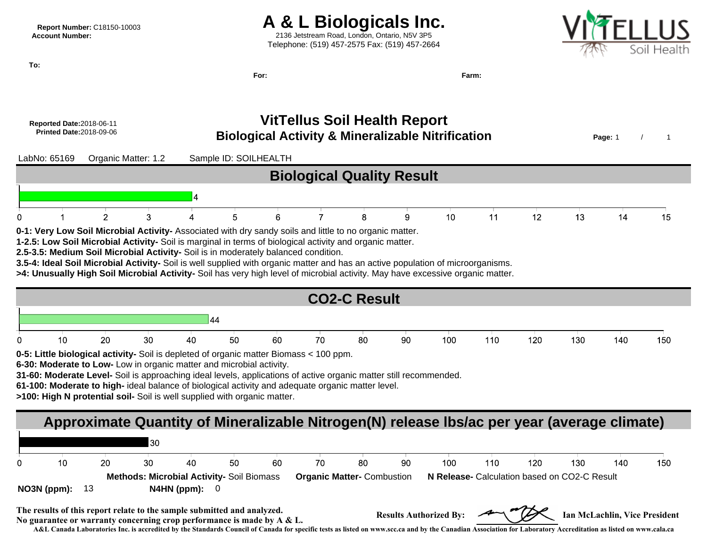### **Report Number:** C18150-10003 **A & L Biologicals Inc.**<br>Account Number: **A & L Biologicals Inc.**

**Account Number:** 2136 Jetstream Road, London, Ontario, N5V 3P5 Telephone: (519) 457-2575 Fax: (519) 457-2664



**For: Farm:**

**To:**

# **Reported Date:** 2018-06-11 **VitTellus Soil Health Report**



**A&L Canada Laboratories Inc. is accredited by the Standards Council of Canada for specific tests as listed on www.scc.ca and by the Canadian Association for Laboratory Accreditation as listed on www.cala.ca**